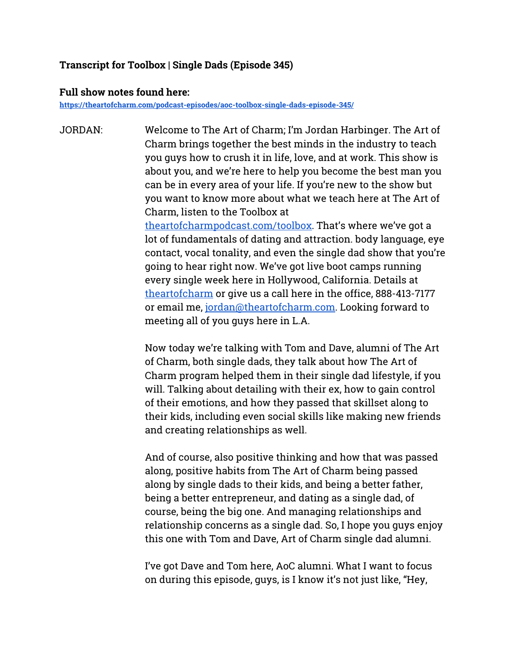### **Transcript for Toolbox | Single Dads (Episode 345)**

#### **Full show notes found here:**

**<https://theartofcharm.com/podcast-episodes/aoc-toolbox-single-dads-episode-345/>**

JORDAN: Welcome to The Art of Charm; I'm Jordan Harbinger. The Art of Charm brings together the best minds in the industry to teach you guys how to crush it in life, love, and at work. This show is about you, and we're here to help you become the best man you can be in every area of your life. If you're new to the show but you want to know more about what we teach here at The Art of Charm, listen to the Toolbox a[t](http://theartofcharmpodcast.com/toolbox)  [theartofcharmpodcast.com/toolbox](http://theartofcharmpodcast.com/toolbox). That's where we've got a lot of fundamentals of dating and attraction. body language, eye contact, vocal tonality, and even the single dad show that you're going to hear right now. We've got live boot camps running every single week here in Hollywood, California. Details a[t](http://theartofcharm.com/)  [theartofcharm](http://theartofcharm.com/) or give us a call here in the office, 888-413-7177 or email me, [jordan@theartofcharm.com](mailto:jordan@theartofcharm.com). Looking forward to meeting all of you guys here in L.A.

> Now today we're talking with Tom and Dave, alumni of The Art of Charm, both single dads, they talk about how The Art of Charm program helped them in their single dad lifestyle, if you will. Talking about detailing with their ex, how to gain control of their emotions, and how they passed that skillset along to their kids, including even social skills like making new friends and creating relationships as well.

> And of course, also positive thinking and how that was passed along, positive habits from The Art of Charm being passed along by single dads to their kids, and being a better father, being a better entrepreneur, and dating as a single dad, of course, being the big one. And managing relationships and relationship concerns as a single dad. So, I hope you guys enjoy this one with Tom and Dave, Art of Charm single dad alumni.

I've got Dave and Tom here, AoC alumni. What I want to focus on during this episode, guys, is I know it's not just like, "Hey,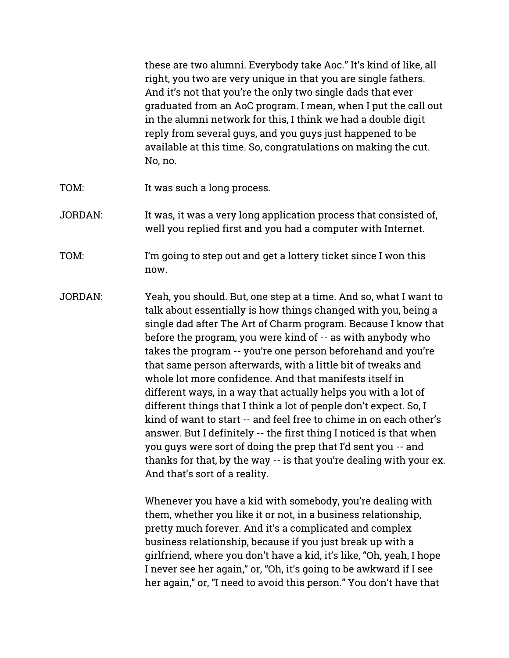these are two alumni. Everybody take Aoc." It's kind of like, all right, you two are very unique in that you are single fathers. And it's not that you're the only two single dads that ever graduated from an AoC program. I mean, when I put the call out in the alumni network for this, I think we had a double digit reply from several guys, and you guys just happened to be available at this time. So, congratulations on making the cut. No, no.

- TOM: It was such a long process.
- JORDAN: It was, it was a very long application process that consisted of, well you replied first and you had a computer with Internet.
- TOM: I'm going to step out and get a lottery ticket since I won this now.
- JORDAN: Yeah, you should. But, one step at a time. And so, what I want to talk about essentially is how things changed with you, being a single dad after The Art of Charm program. Because I know that before the program, you were kind of -- as with anybody who takes the program -- you're one person beforehand and you're that same person afterwards, with a little bit of tweaks and whole lot more confidence. And that manifests itself in different ways, in a way that actually helps you with a lot of different things that I think a lot of people don't expect. So, I kind of want to start -- and feel free to chime in on each other's answer. But I definitely -- the first thing I noticed is that when you guys were sort of doing the prep that I'd sent you -- and thanks for that, by the way -- is that you're dealing with your ex. And that's sort of a reality.

Whenever you have a kid with somebody, you're dealing with them, whether you like it or not, in a business relationship, pretty much forever. And it's a complicated and complex business relationship, because if you just break up with a girlfriend, where you don't have a kid, it's like, "Oh, yeah, I hope I never see her again," or, "Oh, it's going to be awkward if I see her again," or, "I need to avoid this person." You don't have that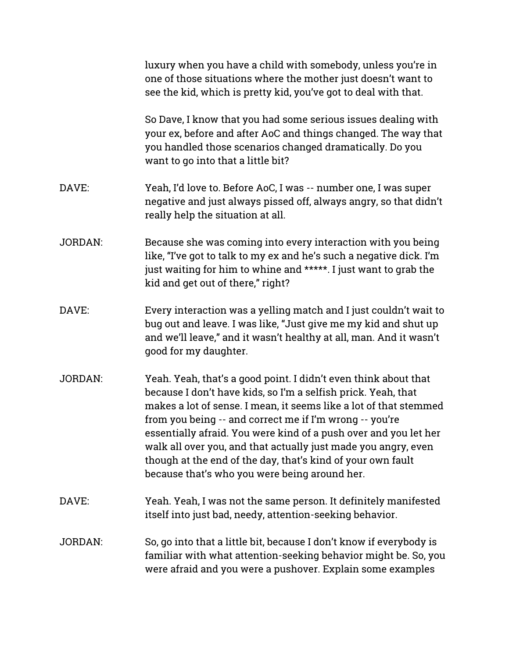|                | luxury when you have a child with somebody, unless you're in<br>one of those situations where the mother just doesn't want to<br>see the kid, which is pretty kid, you've got to deal with that.                                                                                                                                                                                                                                                                                                                       |
|----------------|------------------------------------------------------------------------------------------------------------------------------------------------------------------------------------------------------------------------------------------------------------------------------------------------------------------------------------------------------------------------------------------------------------------------------------------------------------------------------------------------------------------------|
|                | So Dave, I know that you had some serious issues dealing with<br>your ex, before and after AoC and things changed. The way that<br>you handled those scenarios changed dramatically. Do you<br>want to go into that a little bit?                                                                                                                                                                                                                                                                                      |
| DAVE:          | Yeah, I'd love to. Before AoC, I was -- number one, I was super<br>negative and just always pissed off, always angry, so that didn't<br>really help the situation at all.                                                                                                                                                                                                                                                                                                                                              |
| <b>JORDAN:</b> | Because she was coming into every interaction with you being<br>like, "I've got to talk to my ex and he's such a negative dick. I'm<br>just waiting for him to whine and *****. I just want to grab the<br>kid and get out of there," right?                                                                                                                                                                                                                                                                           |
| DAVE:          | Every interaction was a yelling match and I just couldn't wait to<br>bug out and leave. I was like, "Just give me my kid and shut up<br>and we'll leave," and it wasn't healthy at all, man. And it wasn't<br>good for my daughter.                                                                                                                                                                                                                                                                                    |
| <b>JORDAN:</b> | Yeah. Yeah, that's a good point. I didn't even think about that<br>because I don't have kids, so I'm a selfish prick. Yeah, that<br>makes a lot of sense. I mean, it seems like a lot of that stemmed<br>from you being -- and correct me if I'm wrong -- you're<br>essentially afraid. You were kind of a push over and you let her<br>walk all over you, and that actually just made you angry, even<br>though at the end of the day, that's kind of your own fault<br>because that's who you were being around her. |
| DAVE:          | Yeah. Yeah, I was not the same person. It definitely manifested<br>itself into just bad, needy, attention-seeking behavior.                                                                                                                                                                                                                                                                                                                                                                                            |
| <b>JORDAN:</b> | So, go into that a little bit, because I don't know if everybody is<br>familiar with what attention-seeking behavior might be. So, you<br>were afraid and you were a pushover. Explain some examples                                                                                                                                                                                                                                                                                                                   |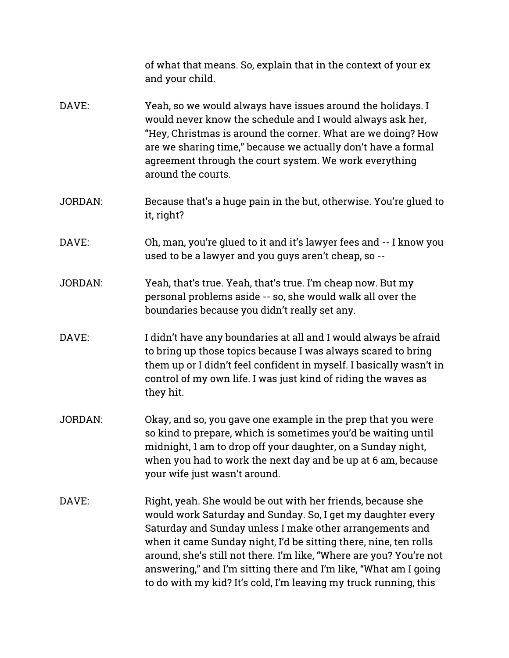|                | of what that means. So, explain that in the context of your ex<br>and your child.                                                                                                                                                                                                                                                                                                                                                                                         |
|----------------|---------------------------------------------------------------------------------------------------------------------------------------------------------------------------------------------------------------------------------------------------------------------------------------------------------------------------------------------------------------------------------------------------------------------------------------------------------------------------|
| DAVE:          | Yeah, so we would always have issues around the holidays. I<br>would never know the schedule and I would always ask her,<br>"Hey, Christmas is around the corner. What are we doing? How<br>are we sharing time," because we actually don't have a formal<br>agreement through the court system. We work everything<br>around the courts.                                                                                                                                 |
| <b>JORDAN:</b> | Because that's a huge pain in the but, otherwise. You're glued to<br>it, right?                                                                                                                                                                                                                                                                                                                                                                                           |
| DAVE:          | Oh, man, you're glued to it and it's lawyer fees and -- I know you<br>used to be a lawyer and you guys aren't cheap, so --                                                                                                                                                                                                                                                                                                                                                |
| <b>JORDAN:</b> | Yeah, that's true. Yeah, that's true. I'm cheap now. But my<br>personal problems aside -- so, she would walk all over the<br>boundaries because you didn't really set any.                                                                                                                                                                                                                                                                                                |
| DAVE:          | I didn't have any boundaries at all and I would always be afraid<br>to bring up those topics because I was always scared to bring<br>them up or I didn't feel confident in myself. I basically wasn't in<br>control of my own life. I was just kind of riding the waves as<br>they hit.                                                                                                                                                                                   |
| <b>JORDAN:</b> | Okay, and so, you gave one example in the prep that you were<br>so kind to prepare, which is sometimes you'd be waiting until<br>midnight, 1 am to drop off your daughter, on a Sunday night,<br>when you had to work the next day and be up at 6 am, because<br>your wife just wasn't around.                                                                                                                                                                            |
| DAVE:          | Right, yeah. She would be out with her friends, because she<br>would work Saturday and Sunday. So, I get my daughter every<br>Saturday and Sunday unless I make other arrangements and<br>when it came Sunday night, I'd be sitting there, nine, ten rolls<br>around, she's still not there. I'm like, "Where are you? You're not<br>answering," and I'm sitting there and I'm like, "What am I going<br>to do with my kid? It's cold, I'm leaving my truck running, this |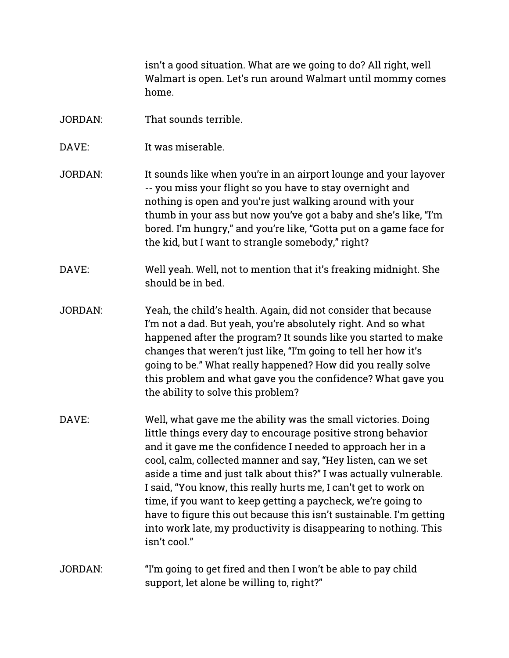isn't a good situation. What are we going to do? All right, well Walmart is open. Let's run around Walmart until mommy comes home.

- JORDAN: That sounds terrible.
- DAVE: It was miserable.
- JORDAN: It sounds like when you're in an airport lounge and your layover -- you miss your flight so you have to stay overnight and nothing is open and you're just walking around with your thumb in your ass but now you've got a baby and she's like, "I'm bored. I'm hungry," and you're like, "Gotta put on a game face for the kid, but I want to strangle somebody," right?
- DAVE: Well yeah. Well, not to mention that it's freaking midnight. She should be in bed.
- JORDAN: Yeah, the child's health. Again, did not consider that because I'm not a dad. But yeah, you're absolutely right. And so what happened after the program? It sounds like you started to make changes that weren't just like, "I'm going to tell her how it's going to be." What really happened? How did you really solve this problem and what gave you the confidence? What gave you the ability to solve this problem?
- DAVE: Well, what gave me the ability was the small victories. Doing little things every day to encourage positive strong behavior and it gave me the confidence I needed to approach her in a cool, calm, collected manner and say, "Hey listen, can we set aside a time and just talk about this?" I was actually vulnerable. I said, "You know, this really hurts me, I can't get to work on time, if you want to keep getting a paycheck, we're going to have to figure this out because this isn't sustainable. I'm getting into work late, my productivity is disappearing to nothing. This isn't cool."
- JORDAN: "I'm going to get fired and then I won't be able to pay child support, let alone be willing to, right?"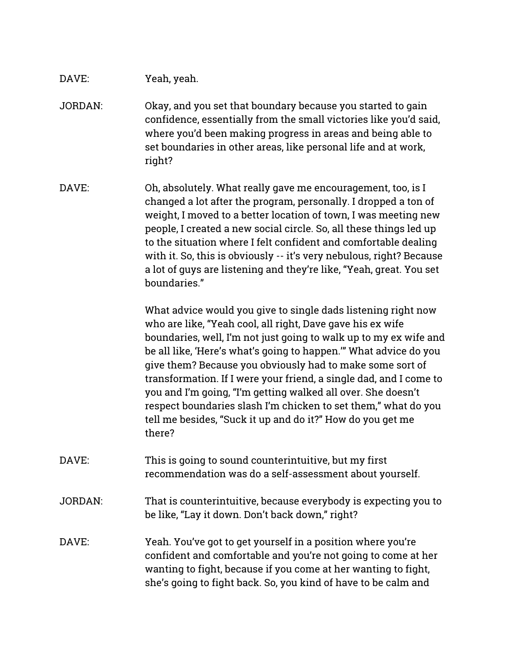# DAVE: Yeah, yeah.

- JORDAN: Okay, and you set that boundary because you started to gain confidence, essentially from the small victories like you'd said, where you'd been making progress in areas and being able to set boundaries in other areas, like personal life and at work, right?
- DAVE: Oh, absolutely. What really gave me encouragement, too, is I changed a lot after the program, personally. I dropped a ton of weight, I moved to a better location of town, I was meeting new people, I created a new social circle. So, all these things led up to the situation where I felt confident and comfortable dealing with it. So, this is obviously -- it's very nebulous, right? Because a lot of guys are listening and they're like, "Yeah, great. You set boundaries."

What advice would you give to single dads listening right now who are like, "Yeah cool, all right, Dave gave his ex wife boundaries, well, I'm not just going to walk up to my ex wife and be all like, 'Here's what's going to happen.'" What advice do you give them? Because you obviously had to make some sort of transformation. If I were your friend, a single dad, and I come to you and I'm going, "I'm getting walked all over. She doesn't respect boundaries slash I'm chicken to set them," what do you tell me besides, "Suck it up and do it?" How do you get me there?

- DAVE: This is going to sound counterintuitive, but my first recommendation was do a self-assessment about yourself.
- JORDAN: That is counterintuitive, because everybody is expecting you to be like, "Lay it down. Don't back down," right?
- DAVE: Yeah. You've got to get yourself in a position where you're confident and comfortable and you're not going to come at her wanting to fight, because if you come at her wanting to fight, she's going to fight back. So, you kind of have to be calm and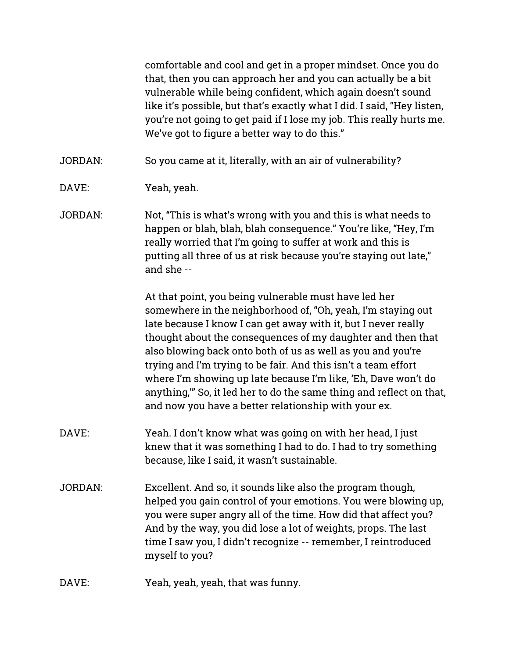comfortable and cool and get in a proper mindset. Once you do that, then you can approach her and you can actually be a bit vulnerable while being confident, which again doesn't sound like it's possible, but that's exactly what I did. I said, "Hey listen, you're not going to get paid if I lose my job. This really hurts me. We've got to figure a better way to do this."

JORDAN: So you came at it, literally, with an air of vulnerability?

- DAVE: Yeah, yeah.
- JORDAN: Not, "This is what's wrong with you and this is what needs to happen or blah, blah, blah consequence." You're like, "Hey, I'm really worried that I'm going to suffer at work and this is putting all three of us at risk because you're staying out late," and she --

At that point, you being vulnerable must have led her somewhere in the neighborhood of, "Oh, yeah, I'm staying out late because I know I can get away with it, but I never really thought about the consequences of my daughter and then that also blowing back onto both of us as well as you and you're trying and I'm trying to be fair. And this isn't a team effort where I'm showing up late because I'm like, 'Eh, Dave won't do anything," So, it led her to do the same thing and reflect on that, and now you have a better relationship with your ex.

- DAVE: Yeah. I don't know what was going on with her head, I just knew that it was something I had to do. I had to try something because, like I said, it wasn't sustainable.
- JORDAN: Excellent. And so, it sounds like also the program though, helped you gain control of your emotions. You were blowing up, you were super angry all of the time. How did that affect you? And by the way, you did lose a lot of weights, props. The last time I saw you, I didn't recognize -- remember, I reintroduced myself to you?
- DAVE: Yeah, yeah, yeah, that was funny.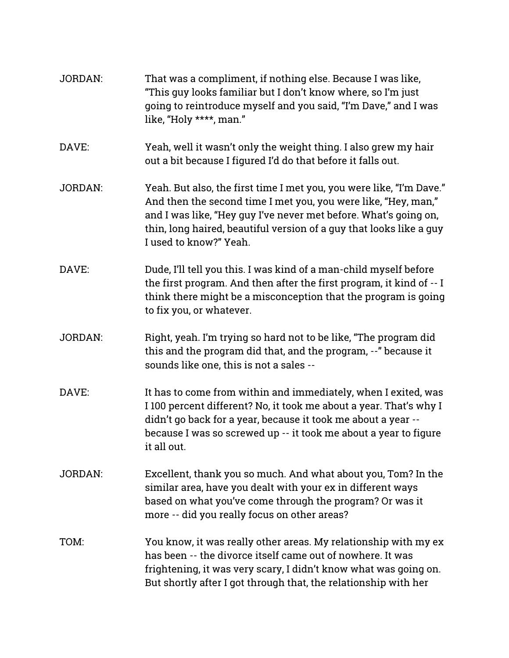| <b>JORDAN:</b> | That was a compliment, if nothing else. Because I was like,<br>"This guy looks familiar but I don't know where, so I'm just<br>going to reintroduce myself and you said, "I'm Dave," and I was<br>like, "Holy ****, man."                                                                                   |
|----------------|-------------------------------------------------------------------------------------------------------------------------------------------------------------------------------------------------------------------------------------------------------------------------------------------------------------|
| DAVE:          | Yeah, well it wasn't only the weight thing. I also grew my hair<br>out a bit because I figured I'd do that before it falls out.                                                                                                                                                                             |
| <b>JORDAN:</b> | Yeah. But also, the first time I met you, you were like, "I'm Dave."<br>And then the second time I met you, you were like, "Hey, man,"<br>and I was like, "Hey guy I've never met before. What's going on,<br>thin, long haired, beautiful version of a guy that looks like a guy<br>I used to know?" Yeah. |
| DAVE:          | Dude, I'll tell you this. I was kind of a man-child myself before<br>the first program. And then after the first program, it kind of -- I<br>think there might be a misconception that the program is going<br>to fix you, or whatever.                                                                     |
| <b>JORDAN:</b> | Right, yeah. I'm trying so hard not to be like, "The program did<br>this and the program did that, and the program, --" because it<br>sounds like one, this is not a sales --                                                                                                                               |
| DAVE:          | It has to come from within and immediately, when I exited, was<br>I 100 percent different? No, it took me about a year. That's why I<br>didn't go back for a year, because it took me about a year --<br>because I was so screwed up -- it took me about a year to figure<br>it all out.                    |
| <b>JORDAN:</b> | Excellent, thank you so much. And what about you, Tom? In the<br>similar area, have you dealt with your ex in different ways<br>based on what you've come through the program? Or was it<br>more -- did you really focus on other areas?                                                                    |
| TOM:           | You know, it was really other areas. My relationship with my ex<br>has been -- the divorce itself came out of nowhere. It was<br>frightening, it was very scary, I didn't know what was going on.<br>But shortly after I got through that, the relationship with her                                        |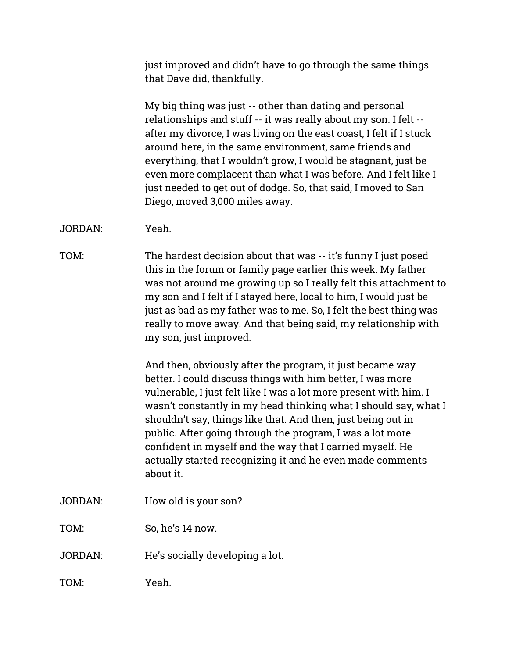just improved and didn't have to go through the same things that Dave did, thankfully.

My big thing was just -- other than dating and personal relationships and stuff -- it was really about my son. I felt - after my divorce, I was living on the east coast, I felt if I stuck around here, in the same environment, same friends and everything, that I wouldn't grow, I would be stagnant, just be even more complacent than what I was before. And I felt like I just needed to get out of dodge. So, that said, I moved to San Diego, moved 3,000 miles away.

JORDAN: Yeah.

TOM: The hardest decision about that was -- it's funny I just posed this in the forum or family page earlier this week. My father was not around me growing up so I really felt this attachment to my son and I felt if I stayed here, local to him, I would just be just as bad as my father was to me. So, I felt the best thing was really to move away. And that being said, my relationship with my son, just improved.

> And then, obviously after the program, it just became way better. I could discuss things with him better, I was more vulnerable, I just felt like I was a lot more present with him. I wasn't constantly in my head thinking what I should say, what I shouldn't say, things like that. And then, just being out in public. After going through the program, I was a lot more confident in myself and the way that I carried myself. He actually started recognizing it and he even made comments about it.

JORDAN: How old is your son?

TOM: So, he's 14 now.

JORDAN: He's socially developing a lot.

TOM: Yeah.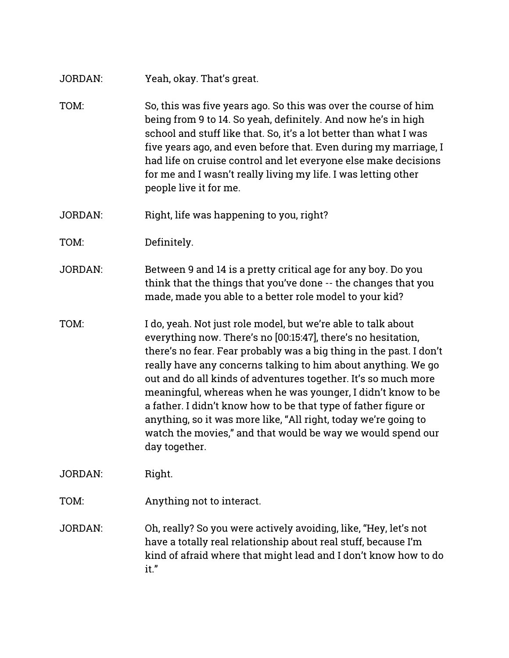- JORDAN: Yeah, okay. That's great.
- TOM: So, this was five years ago. So this was over the course of him being from 9 to 14. So yeah, definitely. And now he's in high school and stuff like that. So, it's a lot better than what I was five years ago, and even before that. Even during my marriage, I had life on cruise control and let everyone else make decisions for me and I wasn't really living my life. I was letting other people live it for me.
- JORDAN: Right, life was happening to you, right?
- TOM: Definitely.
- JORDAN: Between 9 and 14 is a pretty critical age for any boy. Do you think that the things that you've done -- the changes that you made, made you able to a better role model to your kid?
- TOM: I do, yeah. Not just role model, but we're able to talk about everything now. There's no [00:15:47], there's no hesitation, there's no fear. Fear probably was a big thing in the past. I don't really have any concerns talking to him about anything. We go out and do all kinds of adventures together. It's so much more meaningful, whereas when he was younger, I didn't know to be a father. I didn't know how to be that type of father figure or anything, so it was more like, "All right, today we're going to watch the movies," and that would be way we would spend our day together.

JORDAN: Right.

- TOM: Anything not to interact.
- JORDAN: Oh, really? So you were actively avoiding, like, "Hey, let's not have a totally real relationship about real stuff, because I'm kind of afraid where that might lead and I don't know how to do it.ŭ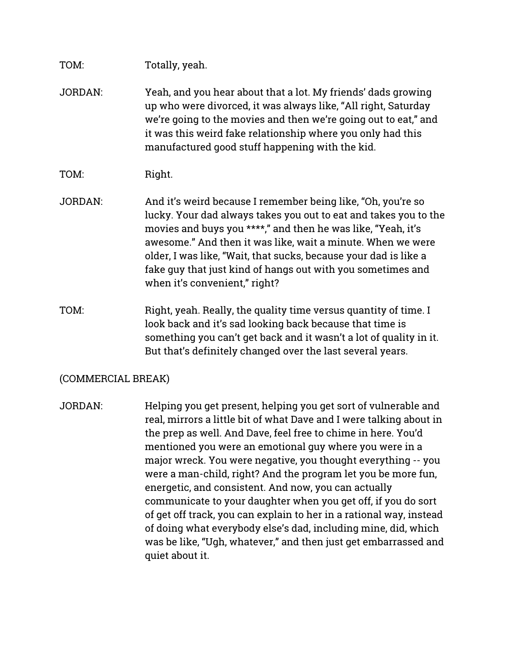# TOM: Totally, yeah.

- JORDAN: Yeah, and you hear about that a lot. My friends' dads growing up who were divorced, it was always like, "All right, Saturday we're going to the movies and then we're going out to eat," and it was this weird fake relationship where you only had this manufactured good stuff happening with the kid.
- TOM: Right.
- JORDAN: And it's weird because I remember being like, "Oh, you're so lucky. Your dad always takes you out to eat and takes you to the movies and buys you \*\*\*\*," and then he was like, "Yeah, it's awesome." And then it was like, wait a minute. When we were older, I was like, "Wait, that sucks, because your dad is like a fake guy that just kind of hangs out with you sometimes and when it's convenient," right?
- TOM: Right, yeah. Really, the quality time versus quantity of time. I look back and it's sad looking back because that time is something you can't get back and it wasn't a lot of quality in it. But that's definitely changed over the last several years.

### (COMMERCIAL BREAK)

JORDAN: Helping you get present, helping you get sort of vulnerable and real, mirrors a little bit of what Dave and I were talking about in the prep as well. And Dave, feel free to chime in here. You'd mentioned you were an emotional guy where you were in a major wreck. You were negative, you thought everything -- you were a man-child, right? And the program let you be more fun, energetic, and consistent. And now, you can actually communicate to your daughter when you get off, if you do sort of get off track, you can explain to her in a rational way, instead of doing what everybody else's dad, including mine, did, which was be like, "Ugh, whatever," and then just get embarrassed and quiet about it.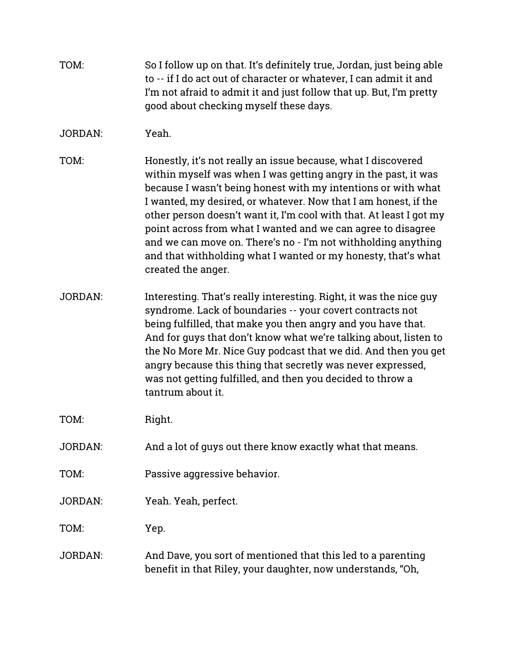| TOM: | So I follow up on that. It's definitely true, Jordan, just being able |
|------|-----------------------------------------------------------------------|
|      | to -- if I do act out of character or whatever. I can admit it and    |
|      | I'm not afraid to admit it and just follow that up. But, I'm pretty   |
|      | good about checking myself these days.                                |

# JORDAN: Yeah.

- TOM: Honestly, it's not really an issue because, what I discovered within myself was when I was getting angry in the past, it was because I wasn't being honest with my intentions or with what I wanted, my desired, or whatever. Now that I am honest, if the other person doesn't want it, I'm cool with that. At least I got my point across from what I wanted and we can agree to disagree and we can move on. There's no - I'm not withholding anything and that withholding what I wanted or my honesty, that's what created the anger.
- JORDAN: Interesting. That's really interesting. Right, it was the nice guy syndrome. Lack of boundaries -- your covert contracts not being fulfilled, that make you then angry and you have that. And for guys that don't know what we're talking about, listen to the No More Mr. Nice Guy podcast that we did. And then you get angry because this thing that secretly was never expressed, was not getting fulfilled, and then you decided to throw a tantrum about it.

TOM: Right.

- JORDAN: And a lot of guys out there know exactly what that means.
- TOM: Passive aggressive behavior.
- JORDAN: Yeah. Yeah, perfect.

TOM: Yep.

JORDAN: And Dave, you sort of mentioned that this led to a parenting benefit in that Riley, your daughter, now understands, "Oh,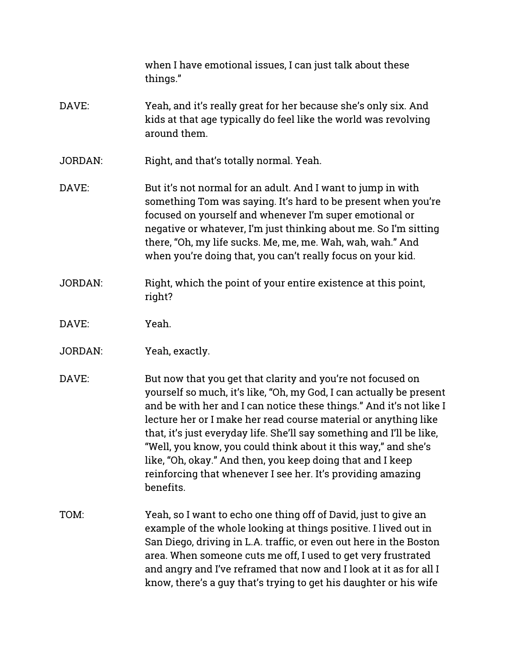when I have emotional issues, I can just talk about these things."

- DAVE: Yeah, and it's really great for her because she's only six. And kids at that age typically do feel like the world was revolving around them.
- JORDAN: Right, and that's totally normal. Yeah.
- DAVE: But it's not normal for an adult. And I want to jump in with something Tom was saying. It's hard to be present when you're focused on yourself and whenever I'm super emotional or negative or whatever, I'm just thinking about me. So I'm sitting there, "Oh, my life sucks. Me, me, me. Wah, wah, wah." And when you're doing that, you can't really focus on your kid.
- JORDAN: Right, which the point of your entire existence at this point, right?
- DAVE: Yeah.
- JORDAN: Yeah, exactly.
- DAVE: But now that you get that clarity and you're not focused on yourself so much, it's like, "Oh, my God, I can actually be present and be with her and I can notice these things." And it's not like I lecture her or I make her read course material or anything like that, it's just everyday life. She'll say something and I'll be like, "Well, you know, you could think about it this way," and she's like, "Oh, okay." And then, you keep doing that and I keep reinforcing that whenever I see her. It's providing amazing benefits.
- TOM: Yeah, so I want to echo one thing off of David, just to give an example of the whole looking at things positive. I lived out in San Diego, driving in L.A. traffic, or even out here in the Boston area. When someone cuts me off, I used to get very frustrated and angry and I've reframed that now and I look at it as for all I know, there's a guy that's trying to get his daughter or his wife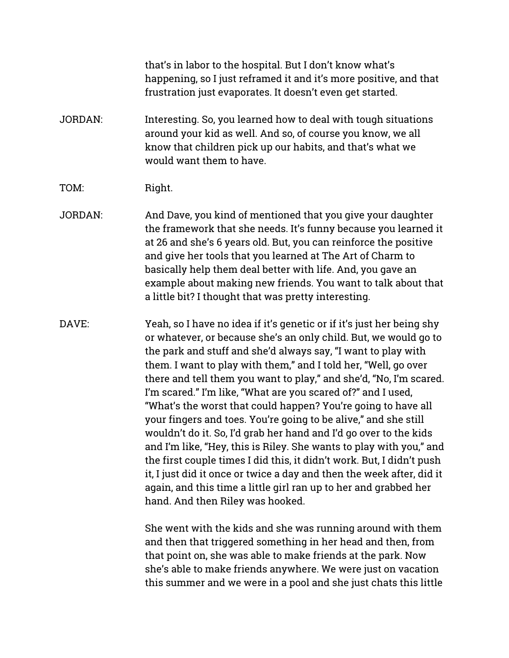that's in labor to the hospital. But I don't know what's happening, so I just reframed it and it's more positive, and that frustration just evaporates. It doesn't even get started.

- JORDAN: Interesting. So, you learned how to deal with tough situations around your kid as well. And so, of course you know, we all know that children pick up our habits, and that's what we would want them to have.
- TOM: Right.
- JORDAN: And Dave, you kind of mentioned that you give your daughter the framework that she needs. It's funny because you learned it at 26 and she's 6 years old. But, you can reinforce the positive and give her tools that you learned at The Art of Charm to basically help them deal better with life. And, you gave an example about making new friends. You want to talk about that a little bit? I thought that was pretty interesting.
- DAVE: Yeah, so I have no idea if it's genetic or if it's just her being shy or whatever, or because she's an only child. But, we would go to the park and stuff and she'd always say, "I want to play with them. I want to play with them," and I told her, "Well, go over there and tell them you want to play," and she'd, "No, I'm scared. I'm scared." I'm like, "What are you scared of?" and I used, "What's the worst that could happen? You're going to have all your fingers and toes. You're going to be alive," and she still wouldn't do it. So, I'd grab her hand and I'd go over to the kids and I'm like, "Hey, this is Riley. She wants to play with you," and the first couple times I did this, it didn't work. But, I didn't push it, I just did it once or twice a day and then the week after, did it again, and this time a little girl ran up to her and grabbed her hand. And then Riley was hooked.

She went with the kids and she was running around with them and then that triggered something in her head and then, from that point on, she was able to make friends at the park. Now she's able to make friends anywhere. We were just on vacation this summer and we were in a pool and she just chats this little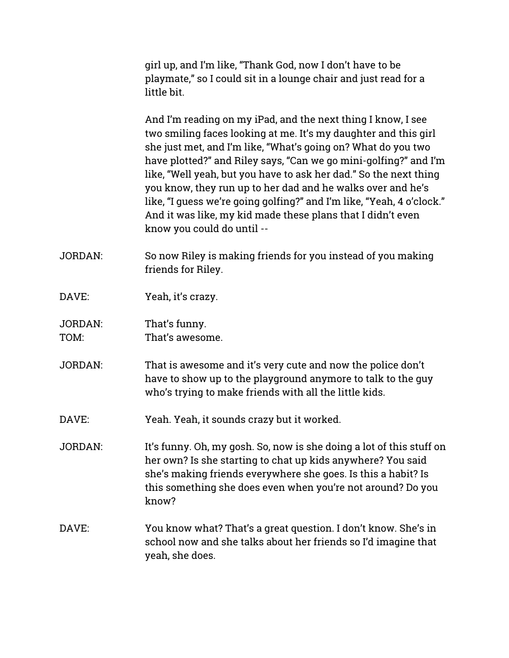girl up, and I'm like, "Thank God, now I don't have to be playmate," so I could sit in a lounge chair and just read for a little bit.

And I'm reading on my iPad, and the next thing I know, I see two smiling faces looking at me. It's my daughter and this girl she just met, and I'm like, "What's going on? What do you two have plotted?" and Riley says, "Can we go mini-golfing?" and I'm like, "Well yeah, but you have to ask her dad." So the next thing you know, they run up to her dad and he walks over and he's like, "I guess we're going golfing?" and I'm like, "Yeah, 4 o'clock." And it was like, my kid made these plans that I didn't even know you could do until --

- JORDAN: So now Riley is making friends for you instead of you making friends for Riley.
- DAVE: Yeah, it's crazy.
- JORDAN: That's funny. TOM: That's awesome.
- JORDAN: That is awesome and it's very cute and now the police don't have to show up to the playground anymore to talk to the guy who's trying to make friends with all the little kids.
- DAVE: Yeah. Yeah, it sounds crazy but it worked.
- JORDAN: It's funny. Oh, my gosh. So, now is she doing a lot of this stuff on her own? Is she starting to chat up kids anywhere? You said she's making friends everywhere she goes. Is this a habit? Is this something she does even when you're not around? Do you know?
- DAVE: You know what? That's a great question. I don't know. She's in school now and she talks about her friends so I'd imagine that yeah, she does.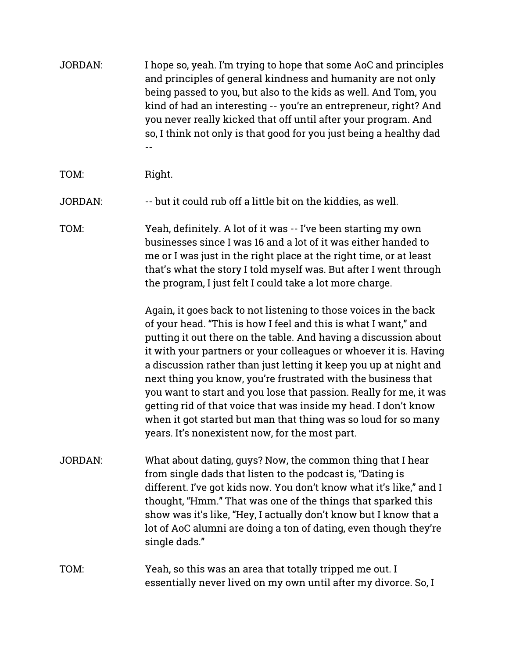| <b>JORDAN:</b> | I hope so, yeah. I'm trying to hope that some AoC and principles<br>and principles of general kindness and humanity are not only<br>being passed to you, but also to the kids as well. And Tom, you<br>kind of had an interesting -- you're an entrepreneur, right? And<br>you never really kicked that off until after your program. And<br>so, I think not only is that good for you just being a healthy dad                                                                                                                                                                                                                                                                  |
|----------------|----------------------------------------------------------------------------------------------------------------------------------------------------------------------------------------------------------------------------------------------------------------------------------------------------------------------------------------------------------------------------------------------------------------------------------------------------------------------------------------------------------------------------------------------------------------------------------------------------------------------------------------------------------------------------------|
| TOM:           | Right.                                                                                                                                                                                                                                                                                                                                                                                                                                                                                                                                                                                                                                                                           |
| <b>JORDAN:</b> | -- but it could rub off a little bit on the kiddies, as well.                                                                                                                                                                                                                                                                                                                                                                                                                                                                                                                                                                                                                    |
| TOM:           | Yeah, definitely. A lot of it was -- I've been starting my own<br>businesses since I was 16 and a lot of it was either handed to<br>me or I was just in the right place at the right time, or at least<br>that's what the story I told myself was. But after I went through<br>the program, I just felt I could take a lot more charge.                                                                                                                                                                                                                                                                                                                                          |
|                | Again, it goes back to not listening to those voices in the back<br>of your head. "This is how I feel and this is what I want," and<br>putting it out there on the table. And having a discussion about<br>it with your partners or your colleagues or whoever it is. Having<br>a discussion rather than just letting it keep you up at night and<br>next thing you know, you're frustrated with the business that<br>you want to start and you lose that passion. Really for me, it was<br>getting rid of that voice that was inside my head. I don't know<br>when it got started but man that thing was so loud for so many<br>years. It's nonexistent now, for the most part. |
| <b>JORDAN:</b> | What about dating, guys? Now, the common thing that I hear<br>from single dads that listen to the podcast is, "Dating is<br>different. I've got kids now. You don't know what it's like," and I<br>thought, "Hmm." That was one of the things that sparked this<br>show was it's like, "Hey, I actually don't know but I know that a<br>lot of AoC alumni are doing a ton of dating, even though they're<br>single dads."                                                                                                                                                                                                                                                        |
| TOM:           | Yeah, so this was an area that totally tripped me out. I<br>essentially never lived on my own until after my divorce. So, I                                                                                                                                                                                                                                                                                                                                                                                                                                                                                                                                                      |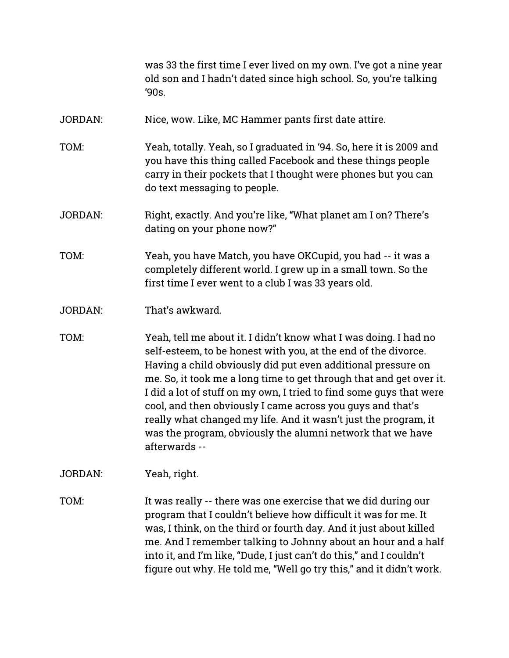was 33 the first time I ever lived on my own. I've got a nine year old son and I hadn't dated since high school. So, you're talking  $'90s.$ 

- JORDAN: Nice, wow. Like, MC Hammer pants first date attire.
- TOM: Yeah, totally. Yeah, so I graduated in '94. So, here it is 2009 and you have this thing called Facebook and these things people carry in their pockets that I thought were phones but you can do text messaging to people.
- JORDAN: Right, exactly. And you're like, "What planet am I on? There's dating on your phone now?"
- TOM: Yeah, you have Match, you have OKCupid, you had -- it was a completely different world. I grew up in a small town. So the first time I ever went to a club I was 33 years old.
- JORDAN: That's awkward.
- TOM: Yeah, tell me about it. I didn't know what I was doing. I had no self-esteem, to be honest with you, at the end of the divorce. Having a child obviously did put even additional pressure on me. So, it took me a long time to get through that and get over it. I did a lot of stuff on my own, I tried to find some guys that were cool, and then obviously I came across you guys and that's really what changed my life. And it wasn't just the program, it was the program, obviously the alumni network that we have afterwards --

JORDAN: Yeah, right.

TOM: It was really -- there was one exercise that we did during our program that I couldn't believe how difficult it was for me. It was, I think, on the third or fourth day. And it just about killed me. And I remember talking to Johnny about an hour and a half into it, and I'm like, "Dude, I just can't do this," and I couldn't figure out why. He told me, "Well go try this," and it didn't work.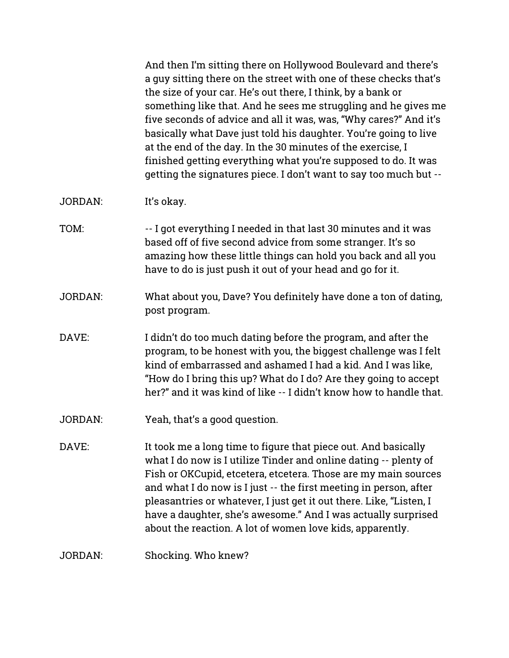And then I'm sitting there on Hollywood Boulevard and there's a guy sitting there on the street with one of these checks that's the size of your car. He's out there, I think, by a bank or something like that. And he sees me struggling and he gives me five seconds of advice and all it was, was, "Why cares?" And it's basically what Dave just told his daughter. You're going to live at the end of the day. In the 30 minutes of the exercise, I finished getting everything what you're supposed to do. It was getting the signatures piece. I don't want to say too much but --

JORDAN: It's okay.

- TOM: -- I got everything I needed in that last 30 minutes and it was based off of five second advice from some stranger. It's so amazing how these little things can hold you back and all you have to do is just push it out of your head and go for it.
- JORDAN: What about you, Dave? You definitely have done a ton of dating, post program.
- DAVE: I didn't do too much dating before the program, and after the program, to be honest with you, the biggest challenge was I felt kind of embarrassed and ashamed I had a kid. And I was like, "How do I bring this up? What do I do? Are they going to accept her?" and it was kind of like -- I didn't know how to handle that.
- JORDAN: Yeah, that's a good question.

DAVE: It took me a long time to figure that piece out. And basically what I do now is I utilize Tinder and online dating -- plenty of Fish or OKCupid, etcetera, etcetera. Those are my main sources and what I do now is I just -- the first meeting in person, after pleasantries or whatever, I just get it out there. Like, "Listen, I have a daughter, she's awesome." And I was actually surprised about the reaction. A lot of women love kids, apparently.

JORDAN: Shocking. Who knew?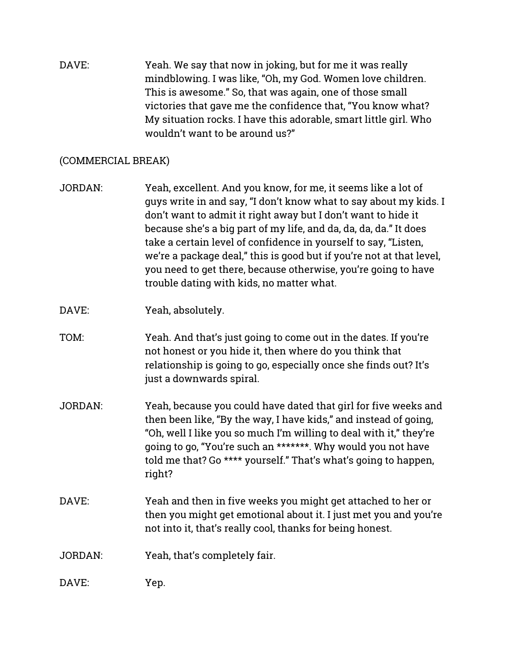DAVE: Yeah. We say that now in joking, but for me it was really mindblowing. I was like, "Oh, my God. Women love children. This is awesome." So, that was again, one of those small victories that gave me the confidence that, "You know what? My situation rocks. I have this adorable, smart little girl. Who wouldn't want to be around us?"

# (COMMERCIAL BREAK)

- JORDAN: Yeah, excellent. And you know, for me, it seems like a lot of guys write in and say, "I don't know what to say about my kids. I don't want to admit it right away but I don't want to hide it because she's a big part of my life, and da, da, da, da." It does take a certain level of confidence in yourself to say, "Listen, we're a package deal," this is good but if you're not at that level, you need to get there, because otherwise, you're going to have trouble dating with kids, no matter what.
- DAVE: Yeah, absolutely.
- TOM: Yeah. And that's just going to come out in the dates. If you're not honest or you hide it, then where do you think that relationship is going to go, especially once she finds out? It's just a downwards spiral.
- JORDAN: Yeah, because you could have dated that girl for five weeks and then been like, "By the way, I have kids," and instead of going, "Oh, well I like you so much I'm willing to deal with it," they're going to go, "You're such an \*\*\*\*\*\*\*. Why would you not have told me that? Go \*\*\*\* yourself." That's what's going to happen, right?
- DAVE: Yeah and then in five weeks you might get attached to her or then you might get emotional about it. I just met you and you're not into it, that's really cool, thanks for being honest.
- JORDAN: Yeah, that's completely fair.
- DAVE: Yep.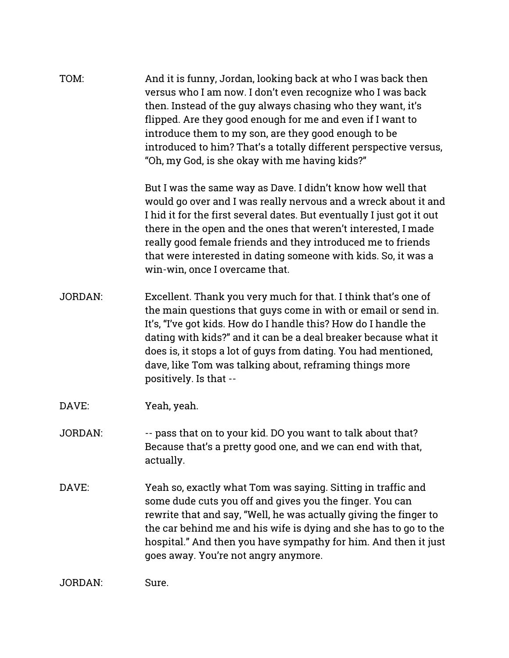| TOM:           | And it is funny, Jordan, looking back at who I was back then<br>versus who I am now. I don't even recognize who I was back<br>then. Instead of the guy always chasing who they want, it's<br>flipped. Are they good enough for me and even if I want to<br>introduce them to my son, are they good enough to be<br>introduced to him? That's a totally different perspective versus,<br>"Oh, my God, is she okay with me having kids?"         |
|----------------|------------------------------------------------------------------------------------------------------------------------------------------------------------------------------------------------------------------------------------------------------------------------------------------------------------------------------------------------------------------------------------------------------------------------------------------------|
|                | But I was the same way as Dave. I didn't know how well that<br>would go over and I was really nervous and a wreck about it and<br>I hid it for the first several dates. But eventually I just got it out<br>there in the open and the ones that weren't interested, I made<br>really good female friends and they introduced me to friends<br>that were interested in dating someone with kids. So, it was a<br>win-win, once I overcame that. |
| <b>JORDAN:</b> | Excellent. Thank you very much for that. I think that's one of<br>the main questions that guys come in with or email or send in.<br>It's, "I've got kids. How do I handle this? How do I handle the<br>dating with kids?" and it can be a deal breaker because what it<br>does is, it stops a lot of guys from dating. You had mentioned,<br>dave, like Tom was talking about, reframing things more<br>positively. Is that --                 |
| DAVE:          | Yeah, yeah.                                                                                                                                                                                                                                                                                                                                                                                                                                    |
| <b>JORDAN:</b> | -- pass that on to your kid. DO you want to talk about that?<br>Because that's a pretty good one, and we can end with that,<br>actually.                                                                                                                                                                                                                                                                                                       |
| DAVE:          | Yeah so, exactly what Tom was saying. Sitting in traffic and<br>some dude cuts you off and gives you the finger. You can<br>rewrite that and say, "Well, he was actually giving the finger to<br>the car behind me and his wife is dying and she has to go to the<br>hospital." And then you have sympathy for him. And then it just<br>goes away. You're not angry anymore.                                                                   |
| JORDAN:        | Sure.                                                                                                                                                                                                                                                                                                                                                                                                                                          |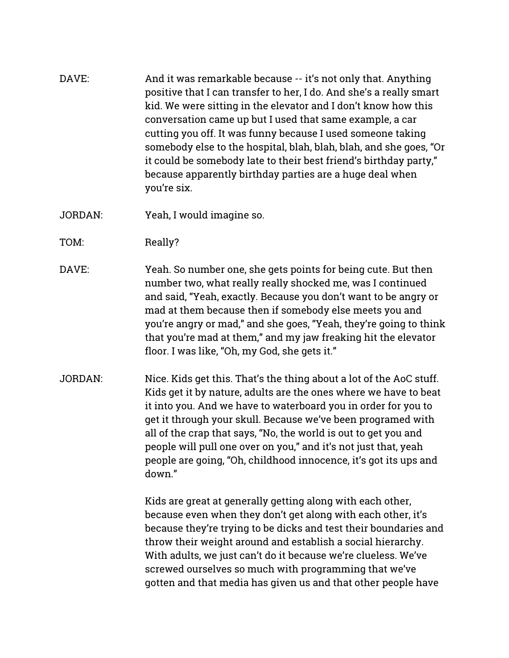- DAVE: And it was remarkable because -- it's not only that. Anything positive that I can transfer to her, I do. And she's a really smart kid. We were sitting in the elevator and I don't know how this conversation came up but I used that same example, a car cutting you off. It was funny because I used someone taking somebody else to the hospital, blah, blah, blah, and she goes, "Or it could be somebody late to their best friend's birthday party," because apparently birthday parties are a huge deal when you're six.
- JORDAN: Yeah, I would imagine so.
- TOM: Really?
- DAVE: Yeah. So number one, she gets points for being cute. But then number two, what really really shocked me, was I continued and said, "Yeah, exactly. Because you don't want to be angry or mad at them because then if somebody else meets you and you're angry or mad," and she goes, "Yeah, they're going to think that you're mad at them," and my jaw freaking hit the elevator floor. I was like, "Oh, my God, she gets it."
- JORDAN: Nice. Kids get this. That's the thing about a lot of the AoC stuff. Kids get it by nature, adults are the ones where we have to beat it into you. And we have to waterboard you in order for you to get it through your skull. Because we've been programed with all of the crap that says, "No, the world is out to get you and people will pull one over on you," and it's not just that, yeah people are going, "Oh, childhood innocence, it's got its ups and down"

Kids are great at generally getting along with each other, because even when they don't get along with each other, it's because they're trying to be dicks and test their boundaries and throw their weight around and establish a social hierarchy. With adults, we just can't do it because we're clueless. We've screwed ourselves so much with programming that we've gotten and that media has given us and that other people have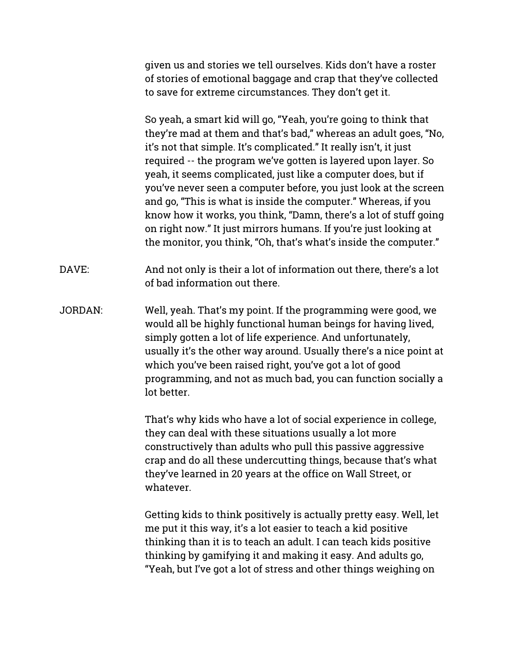given us and stories we tell ourselves. Kids don't have a roster of stories of emotional baggage and crap that they've collected to save for extreme circumstances. They don't get it.

So yeah, a smart kid will go, "Yeah, you're going to think that they're mad at them and that's bad," whereas an adult goes, "No, it's not that simple. It's complicated." It really isn't, it just required -- the program we've gotten is layered upon layer. So yeah, it seems complicated, just like a computer does, but if you've never seen a computer before, you just look at the screen and go, "This is what is inside the computer." Whereas, if you know how it works, you think, "Damn, there's a lot of stuff going on right now." It just mirrors humans. If you're just looking at the monitor, you think, "Oh, that's what's inside the computer."

DAVE: And not only is their a lot of information out there, there's a lot of bad information out there.

JORDAN: Well, yeah. That's my point. If the programming were good, we would all be highly functional human beings for having lived, simply gotten a lot of life experience. And unfortunately, usually it's the other way around. Usually there's a nice point at which you've been raised right, you've got a lot of good programming, and not as much bad, you can function socially a lot better.

> That's why kids who have a lot of social experience in college, they can deal with these situations usually a lot more constructively than adults who pull this passive aggressive crap and do all these undercutting things, because that's what they've learned in 20 years at the office on Wall Street, or whatever.

> Getting kids to think positively is actually pretty easy. Well, let me put it this way, it's a lot easier to teach a kid positive thinking than it is to teach an adult. I can teach kids positive thinking by gamifying it and making it easy. And adults go, "Yeah, but I've got a lot of stress and other things weighing on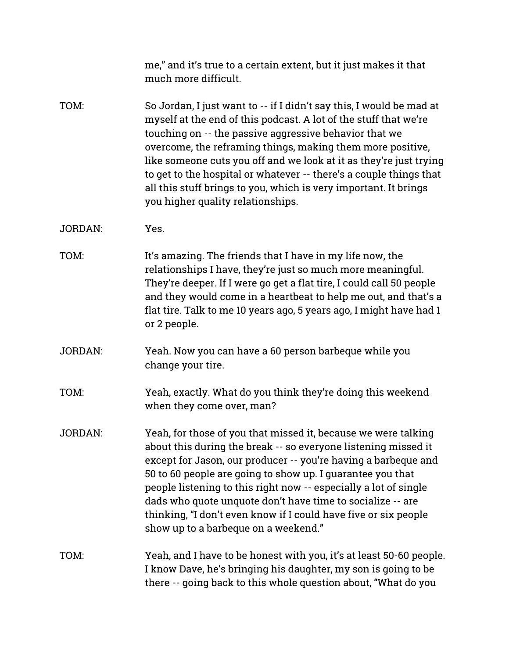|                | me," and it's true to a certain extent, but it just makes it that<br>much more difficult.                                                                                                                                                                                                                                                                                                                                                                                                                             |
|----------------|-----------------------------------------------------------------------------------------------------------------------------------------------------------------------------------------------------------------------------------------------------------------------------------------------------------------------------------------------------------------------------------------------------------------------------------------------------------------------------------------------------------------------|
| TOM:           | So Jordan, I just want to -- if I didn't say this, I would be mad at<br>myself at the end of this podcast. A lot of the stuff that we're<br>touching on -- the passive aggressive behavior that we<br>overcome, the reframing things, making them more positive,<br>like someone cuts you off and we look at it as they're just trying<br>to get to the hospital or whatever -- there's a couple things that<br>all this stuff brings to you, which is very important. It brings<br>you higher quality relationships. |
| <b>JORDAN:</b> | Yes.                                                                                                                                                                                                                                                                                                                                                                                                                                                                                                                  |
| TOM:           | It's amazing. The friends that I have in my life now, the<br>relationships I have, they're just so much more meaningful.<br>They're deeper. If I were go get a flat tire, I could call 50 people<br>and they would come in a heartbeat to help me out, and that's a<br>flat tire. Talk to me 10 years ago, 5 years ago, I might have had 1<br>or 2 people.                                                                                                                                                            |
| <b>JORDAN:</b> | Yeah. Now you can have a 60 person barbeque while you<br>change your tire.                                                                                                                                                                                                                                                                                                                                                                                                                                            |
| TOM:           | Yeah, exactly. What do you think they're doing this weekend<br>when they come over, man?                                                                                                                                                                                                                                                                                                                                                                                                                              |
| <b>JORDAN:</b> | Yeah, for those of you that missed it, because we were talking<br>about this during the break -- so everyone listening missed it<br>except for Jason, our producer -- you're having a barbeque and<br>50 to 60 people are going to show up. I guarantee you that<br>people listening to this right now -- especially a lot of single<br>dads who quote unquote don't have time to socialize -- are<br>thinking, "I don't even know if I could have five or six people<br>show up to a barbeque on a weekend."         |
| TOM:           | Yeah, and I have to be honest with you, it's at least 50-60 people.<br>I know Dave, he's bringing his daughter, my son is going to be<br>there -- going back to this whole question about, "What do you                                                                                                                                                                                                                                                                                                               |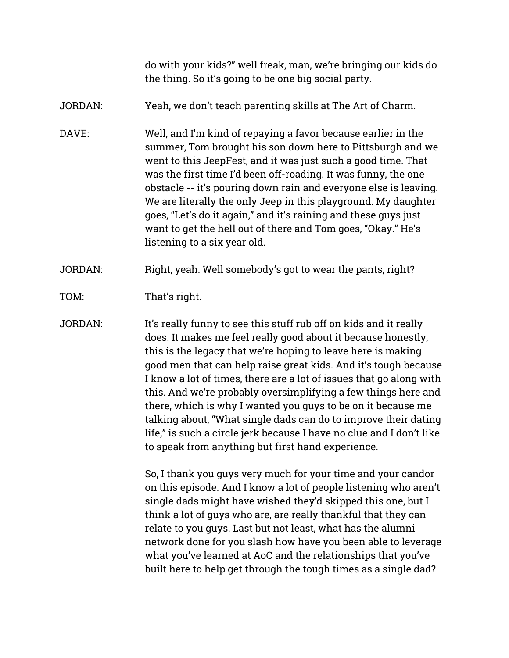do with your kids?" well freak, man, we're bringing our kids do the thing. So it's going to be one big social party.

# JORDAN: Yeah, we don't teach parenting skills at The Art of Charm.

DAVE: Well, and I'm kind of repaying a favor because earlier in the summer, Tom brought his son down here to Pittsburgh and we went to this JeepFest, and it was just such a good time. That was the first time I'd been off-roading. It was funny, the one obstacle -- it's pouring down rain and everyone else is leaving. We are literally the only Jeep in this playground. My daughter goes, "Let's do it again," and it's raining and these guys just want to get the hell out of there and Tom goes, "Okay." He's listening to a six year old.

JORDAN: Right, yeah. Well somebody's got to wear the pants, right?

- TOM: That's right.
- JORDAN: It's really funny to see this stuff rub off on kids and it really does. It makes me feel really good about it because honestly, this is the legacy that we're hoping to leave here is making good men that can help raise great kids. And it's tough because I know a lot of times, there are a lot of issues that go along with this. And we're probably oversimplifying a few things here and there, which is why I wanted you guys to be on it because me talking about, "What single dads can do to improve their dating life," is such a circle jerk because I have no clue and I don't like to speak from anything but first hand experience.

So, I thank you guys very much for your time and your candor on this episode. And I know a lot of people listening who aren't single dads might have wished they'd skipped this one, but I think a lot of guys who are, are really thankful that they can relate to you guys. Last but not least, what has the alumni network done for you slash how have you been able to leverage what you've learned at AoC and the relationships that you've built here to help get through the tough times as a single dad?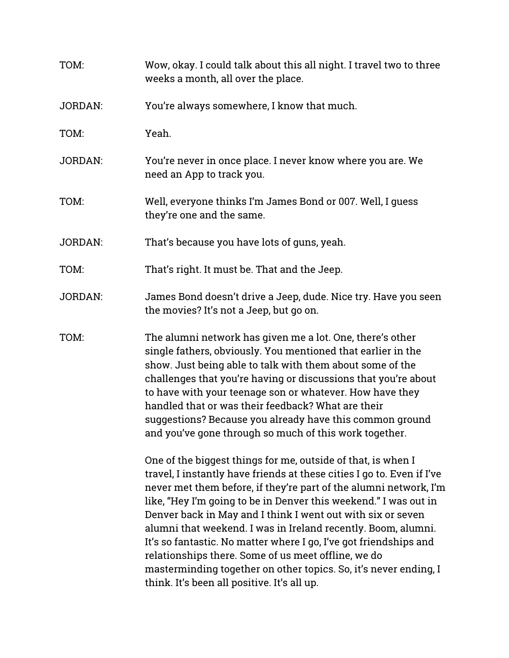| TOM:           | Wow, okay. I could talk about this all night. I travel two to three<br>weeks a month, all over the place.                                                                                                                                                                                                                                                                                                                                                                                                                                                                                                                                                      |
|----------------|----------------------------------------------------------------------------------------------------------------------------------------------------------------------------------------------------------------------------------------------------------------------------------------------------------------------------------------------------------------------------------------------------------------------------------------------------------------------------------------------------------------------------------------------------------------------------------------------------------------------------------------------------------------|
| <b>JORDAN:</b> | You're always somewhere, I know that much.                                                                                                                                                                                                                                                                                                                                                                                                                                                                                                                                                                                                                     |
| TOM:           | Yeah.                                                                                                                                                                                                                                                                                                                                                                                                                                                                                                                                                                                                                                                          |
| <b>JORDAN:</b> | You're never in once place. I never know where you are. We<br>need an App to track you.                                                                                                                                                                                                                                                                                                                                                                                                                                                                                                                                                                        |
| TOM:           | Well, everyone thinks I'm James Bond or 007. Well, I guess<br>they're one and the same.                                                                                                                                                                                                                                                                                                                                                                                                                                                                                                                                                                        |
| <b>JORDAN:</b> | That's because you have lots of guns, yeah.                                                                                                                                                                                                                                                                                                                                                                                                                                                                                                                                                                                                                    |
| TOM:           | That's right. It must be. That and the Jeep.                                                                                                                                                                                                                                                                                                                                                                                                                                                                                                                                                                                                                   |
| <b>JORDAN:</b> | James Bond doesn't drive a Jeep, dude. Nice try. Have you seen<br>the movies? It's not a Jeep, but go on.                                                                                                                                                                                                                                                                                                                                                                                                                                                                                                                                                      |
| TOM:           | The alumni network has given me a lot. One, there's other<br>single fathers, obviously. You mentioned that earlier in the<br>show. Just being able to talk with them about some of the<br>challenges that you're having or discussions that you're about<br>to have with your teenage son or whatever. How have they<br>handled that or was their feedback? What are their<br>suggestions? Because you already have this common ground<br>and you've gone through so much of this work together.                                                                                                                                                               |
|                | One of the biggest things for me, outside of that, is when I<br>travel, I instantly have friends at these cities I go to. Even if I've<br>never met them before, if they're part of the alumni network, I'm<br>like, "Hey I'm going to be in Denver this weekend." I was out in<br>Denver back in May and I think I went out with six or seven<br>alumni that weekend. I was in Ireland recently. Boom, alumni.<br>It's so fantastic. No matter where I go, I've got friendships and<br>relationships there. Some of us meet offline, we do<br>masterminding together on other topics. So, it's never ending, I<br>think. It's been all positive. It's all up. |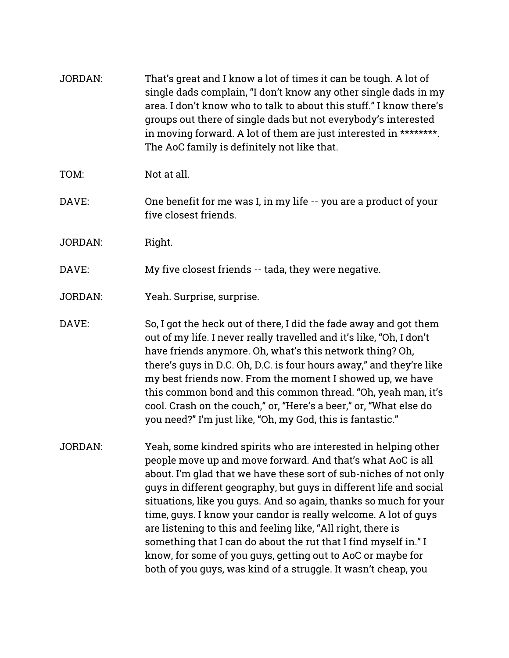| <b>JORDAN:</b> | That's great and I know a lot of times it can be tough. A lot of<br>single dads complain, "I don't know any other single dads in my<br>area. I don't know who to talk to about this stuff." I know there's<br>groups out there of single dads but not everybody's interested<br>in moving forward. A lot of them are just interested in ********.<br>The AoC family is definitely not like that.                                                                                                                                                                                                                                                                                    |
|----------------|-------------------------------------------------------------------------------------------------------------------------------------------------------------------------------------------------------------------------------------------------------------------------------------------------------------------------------------------------------------------------------------------------------------------------------------------------------------------------------------------------------------------------------------------------------------------------------------------------------------------------------------------------------------------------------------|
| TOM:           | Not at all.                                                                                                                                                                                                                                                                                                                                                                                                                                                                                                                                                                                                                                                                         |
| DAVE:          | One benefit for me was I, in my life -- you are a product of your<br>five closest friends.                                                                                                                                                                                                                                                                                                                                                                                                                                                                                                                                                                                          |
| <b>JORDAN:</b> | Right.                                                                                                                                                                                                                                                                                                                                                                                                                                                                                                                                                                                                                                                                              |
| DAVE:          | My five closest friends -- tada, they were negative.                                                                                                                                                                                                                                                                                                                                                                                                                                                                                                                                                                                                                                |
| <b>JORDAN:</b> | Yeah. Surprise, surprise.                                                                                                                                                                                                                                                                                                                                                                                                                                                                                                                                                                                                                                                           |
| DAVE:          | So, I got the heck out of there, I did the fade away and got them<br>out of my life. I never really travelled and it's like, "Oh, I don't<br>have friends anymore. Oh, what's this network thing? Oh,<br>there's guys in D.C. Oh, D.C. is four hours away," and they're like<br>my best friends now. From the moment I showed up, we have<br>this common bond and this common thread. "Oh, yeah man, it's<br>cool. Crash on the couch," or, "Here's a beer," or, "What else do<br>you need?" I'm just like, "Oh, my God, this is fantastic."                                                                                                                                        |
| JORDAN:        | Yeah, some kindred spirits who are interested in helping other<br>people move up and move forward. And that's what AoC is all<br>about. I'm glad that we have these sort of sub-niches of not only<br>guys in different geography, but guys in different life and social<br>situations, like you guys. And so again, thanks so much for your<br>time, guys. I know your candor is really welcome. A lot of guys<br>are listening to this and feeling like, "All right, there is<br>something that I can do about the rut that I find myself in." I<br>know, for some of you guys, getting out to AoC or maybe for<br>both of you guys, was kind of a struggle. It wasn't cheap, you |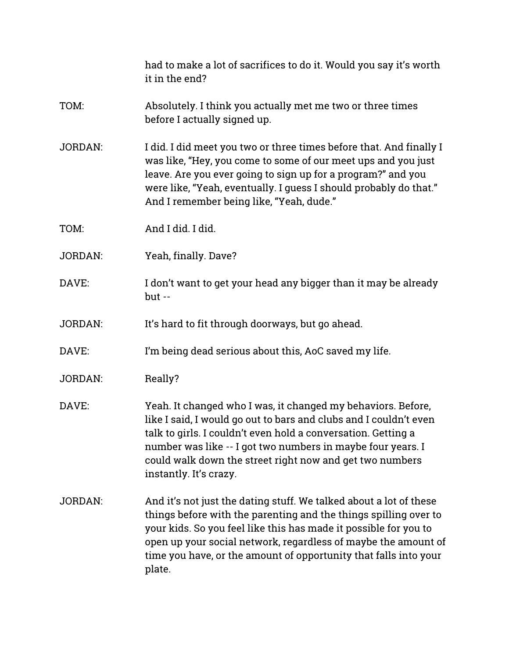had to make a lot of sacrifices to do it. Would you say it's worth it in the end? TOM: Absolutely. I think you actually met me two or three times before I actually signed up. JORDAN: I did. I did meet you two or three times before that. And finally I was like, "Hey, you come to some of our meet ups and you just leave. Are you ever going to sign up for a program?" and you were like, "Yeah, eventually. I quess I should probably do that." And I remember being like, "Yeah, dude." TOM: And I did. I did. JORDAN: Yeah, finally. Dave? DAVE: I don't want to get your head any bigger than it may be already but -- JORDAN: It's hard to fit through doorways, but go ahead. DAVE: I'm being dead serious about this, AoC saved my life. JORDAN: Really? DAVE: Yeah. It changed who I was, it changed my behaviors. Before, like I said, I would go out to bars and clubs and I couldn't even talk to girls. I couldn't even hold a conversation. Getting a number was like -- I got two numbers in maybe four years. I could walk down the street right now and get two numbers instantly. It's crazy. JORDAN: And it's not just the dating stuff. We talked about a lot of these things before with the parenting and the things spilling over to your kids. So you feel like this has made it possible for you to open up your social network, regardless of maybe the amount of time you have, or the amount of opportunity that falls into your plate.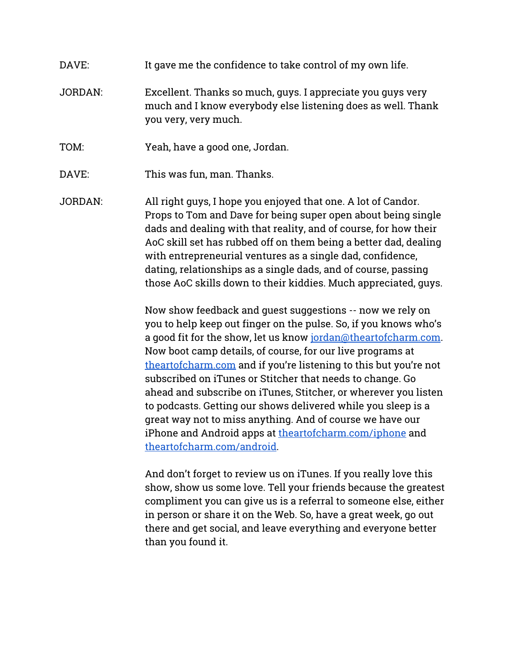# DAVE: It gave me the confidence to take control of my own life.

- JORDAN: Excellent. Thanks so much, guys. I appreciate you guys very much and I know everybody else listening does as well. Thank you very, very much.
- TOM: Yeah, have a good one, Jordan.
- DAVE: This was fun, man. Thanks.
- JORDAN: All right guys, I hope you enjoyed that one. A lot of Candor. Props to Tom and Dave for being super open about being single dads and dealing with that reality, and of course, for how their AoC skill set has rubbed off on them being a better dad, dealing with entrepreneurial ventures as a single dad, confidence, dating, relationships as a single dads, and of course, passing those AoC skills down to their kiddies. Much appreciated, guys.

Now show feedback and guest suggestions -- now we rely on you to help keep out finger on the pulse. So, if you knows who's a good fit for the show, let us know [jordan@theartofcharm.com](mailto:jordan@theartofcharm.com). Now boot camp details, of course, for our live programs at [theartofcharm.com](http://theartofcharm.com/) and if you're listening to this but you're not subscribed on iTunes or Stitcher that needs to change. Go ahead and subscribe on iTunes, Stitcher, or wherever you listen to podcasts. Getting our shows delivered while you sleep is a great way not to miss anything. And of course we have our iPhone and Android apps at [theartofcharm.com/iphone](http://theartofcharm.com/iphone) and [theartofcharm.com/android](http://theartofcharm.com/android).

And don't forget to review us on iTunes. If you really love this show, show us some love. Tell your friends because the greatest compliment you can give us is a referral to someone else, either in person or share it on the Web. So, have a great week, go out there and get social, and leave everything and everyone better than you found it.